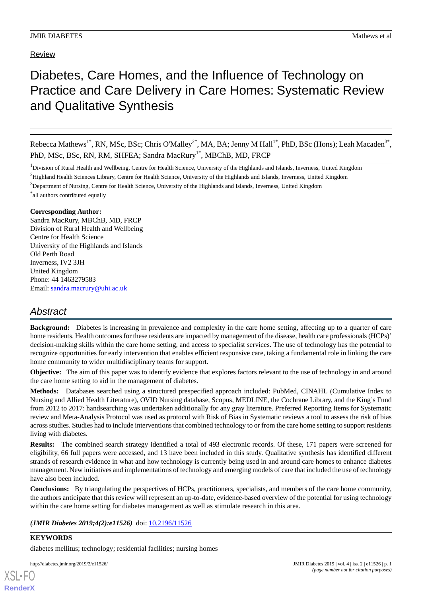## Review

# Diabetes, Care Homes, and the Influence of Technology on Practice and Care Delivery in Care Homes: Systematic Review and Qualitative Synthesis

Rebecca Mathews<sup>1\*</sup>, RN, MSc, BSc; Chris O'Malley<sup>2\*</sup>, MA, BA; Jenny M Hall<sup>1\*</sup>, PhD, BSc (Hons); Leah Macaden<sup>3\*</sup>, PhD, MSc, BSc, RN, RM, SHFEA; Sandra MacRury<sup>1\*</sup>, MBChB, MD, FRCP

<sup>1</sup>Division of Rural Health and Wellbeing, Centre for Health Science, University of the Highlands and Islands, Inverness, United Kingdom

<sup>2</sup>Highland Health Sciences Library, Centre for Health Science, University of the Highlands and Islands, Inverness, United Kingdom

<sup>3</sup>Department of Nursing, Centre for Health Science, University of the Highlands and Islands, Inverness, United Kingdom

\* all authors contributed equally

### **Corresponding Author:**

Sandra MacRury, MBChB, MD, FRCP Division of Rural Health and Wellbeing Centre for Health Science University of the Highlands and Islands Old Perth Road Inverness, IV2 3JH United Kingdom Phone: 44 1463279583 Email: [sandra.macrury@uhi.ac.uk](mailto:sandra.macrury@uhi.ac.uk)

## *Abstract*

**Background:** Diabetes is increasing in prevalence and complexity in the care home setting, affecting up to a quarter of care home residents. Health outcomes for these residents are impacted by management of the disease, health care professionals (HCPs)' decision-making skills within the care home setting, and access to specialist services. The use of technology has the potential to recognize opportunities for early intervention that enables efficient responsive care, taking a fundamental role in linking the care home community to wider multidisciplinary teams for support.

**Objective:** The aim of this paper was to identify evidence that explores factors relevant to the use of technology in and around the care home setting to aid in the management of diabetes.

**Methods:** Databases searched using a structured prespecified approach included: PubMed, CINAHL (Cumulative Index to Nursing and Allied Health Literature), OVID Nursing database, Scopus, MEDLINE, the Cochrane Library, and the King's Fund from 2012 to 2017: handsearching was undertaken additionally for any gray literature. Preferred Reporting Items for Systematic review and Meta-Analysis Protocol was used as protocol with Risk of Bias in Systematic reviews a tool to assess the risk of bias across studies. Studies had to include interventions that combined technology to or from the care home setting to support residents living with diabetes.

**Results:** The combined search strategy identified a total of 493 electronic records. Of these, 171 papers were screened for eligibility, 66 full papers were accessed, and 13 have been included in this study. Qualitative synthesis has identified different strands of research evidence in what and how technology is currently being used in and around care homes to enhance diabetes management. New initiatives and implementations of technology and emerging models of care that included the use of technology have also been included.

**Conclusions:** By triangulating the perspectives of HCPs, practitioners, specialists, and members of the care home community, the authors anticipate that this review will represent an up-to-date, evidence-based overview of the potential for using technology within the care home setting for diabetes management as well as stimulate research in this area.

*(JMIR Diabetes 2019;4(2):e11526)* doi:  $10.2196/11526$ 

## **KEYWORDS**

diabetes mellitus; technology; residential facilities; nursing homes

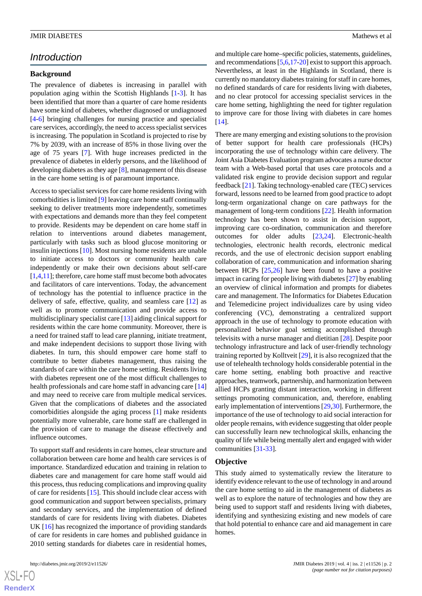## *Introduction*

### **Background**

The prevalence of diabetes is increasing in parallel with population aging within the Scottish Highlands [\[1](#page-10-0)-[3\]](#page-11-0). It has been identified that more than a quarter of care home residents have some kind of diabetes, whether diagnosed or undiagnosed [[4](#page-11-1)[-6](#page-11-2)] bringing challenges for nursing practice and specialist care services, accordingly, the need to access specialist services is increasing. The population in Scotland is projected to rise by 7% by 2039, with an increase of 85% in those living over the age of 75 years [[7\]](#page-11-3). With huge increases predicted in the prevalence of diabetes in elderly persons, and the likelihood of developing diabetes as they age [[8\]](#page-11-4), management of this disease in the care home setting is of paramount importance.

Access to specialist services for care home residents living with comorbidities is limited [\[9](#page-11-5)] leaving care home staff continually seeking to deliver treatments more independently, sometimes with expectations and demands more than they feel competent to provide. Residents may be dependent on care home staff in relation to interventions around diabetes management, particularly with tasks such as blood glucose monitoring or insulin injections [\[10](#page-11-6)]. Most nursing home residents are unable to initiate access to doctors or community health care independently or make their own decisions about self-care [[1,](#page-10-0)[4](#page-11-1)[,11](#page-11-7)]; therefore, care home staff must become both advocates and facilitators of care interventions. Today, the advancement of technology has the potential to influence practice in the delivery of safe, effective, quality, and seamless care [\[12](#page-11-8)] as well as to promote communication and provide access to multidisciplinary specialist care [\[13](#page-11-9)] aiding clinical support for residents within the care home community. Moreover, there is a need for trained staff to lead care planning, initiate treatment, and make independent decisions to support those living with diabetes. In turn, this should empower care home staff to contribute to better diabetes management, thus raising the standards of care within the care home setting. Residents living with diabetes represent one of the most difficult challenges to health professionals and care home staff in advancing care [\[14](#page-11-10)] and may need to receive care from multiple medical services. Given that the complications of diabetes and the associated comorbidities alongside the aging process [[1\]](#page-10-0) make residents potentially more vulnerable, care home staff are challenged in the provision of care to manage the disease effectively and influence outcomes.

To support staff and residents in care homes, clear structure and collaboration between care home and health care services is of importance. Standardized education and training in relation to diabetes care and management for care home staff would aid this process, thus reducing complications and improving quality of care for residents [\[15](#page-11-11)]. This should include clear access with good communication and support between specialists, primary and secondary services, and the implementation of defined standards of care for residents living with diabetes. Diabetes UK [[16\]](#page-11-12) has recognized the importance of providing standards of care for residents in care homes and published guidance in 2010 setting standards for diabetes care in residential homes,

and multiple care home–specific policies, statements, guidelines, and recommendations [[5,](#page-11-13)[6](#page-11-2)[,17](#page-11-14)[-20](#page-11-15)] exist to support this approach. Nevertheless, at least in the Highlands in Scotland, there is currently no mandatory diabetes training for staff in care homes, no defined standards of care for residents living with diabetes, and no clear protocol for accessing specialist services in the care home setting, highlighting the need for tighter regulation to improve care for those living with diabetes in care homes [[14\]](#page-11-10).

There are many emerging and existing solutions to the provision of better support for health care professionals (HCPs) incorporating the use of technology within care delivery. The Joint Asia Diabetes Evaluation program advocates a nurse doctor team with a Web-based portal that uses care protocols and a validated risk engine to provide decision support and regular feedback [\[21](#page-11-16)]. Taking technology-enabled care (TEC) services forward, lessons need to be learned from good practice to adopt long-term organizational change on care pathways for the management of long-term conditions [[22\]](#page-11-17). Health information technology has been shown to assist in decision support, improving care co-ordination, communication and therefore outcomes for older adults [[23,](#page-11-18)[24](#page-11-19)]. Electronic-health technologies, electronic health records, electronic medical records, and the use of electronic decision support enabling collaboration of care, communication and information sharing between HCPs [[25,](#page-12-0)[26](#page-12-1)] have been found to have a positive impact in caring for people living with diabetes [[27\]](#page-12-2) by enabling an overview of clinical information and prompts for diabetes care and management. The Informatics for Diabetes Education and Telemedicine project individualizes care by using video conferencing (VC), demonstrating a centralized support approach in the use of technology to promote education with personalized behavior goal setting accomplished through televisits with a nurse manager and dietitian [[28\]](#page-12-3). Despite poor technology infrastructure and lack of user-friendly technology training reported by Kolltveit [[29\]](#page-12-4), it is also recognized that the use of telehealth technology holds considerable potential in the care home setting, enabling both proactive and reactive approaches, teamwork, partnership, and harmonization between allied HCPs granting distant interaction, working in different settings promoting communication, and, therefore, enabling early implementation of interventions [[29,](#page-12-4)[30\]](#page-12-5). Furthermore, the importance of the use of technology to aid social interaction for older people remains, with evidence suggesting that older people can successfully learn new technological skills, enhancing the quality of life while being mentally alert and engaged with wider communities [\[31](#page-12-6)[-33](#page-12-7)].

### **Objective**

This study aimed to systematically review the literature to identify evidence relevant to the use of technology in and around the care home setting to aid in the management of diabetes as well as to explore the nature of technologies and how they are being used to support staff and residents living with diabetes, identifying and synthesizing existing and new models of care that hold potential to enhance care and aid management in care homes.

 $XS$  $\cdot$ FC **[RenderX](http://www.renderx.com/)**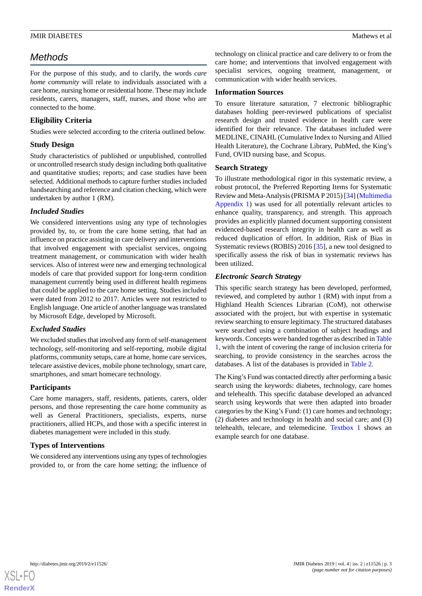## *Methods*

For the purpose of this study, and to clarify, the words *care home community* will relate to individuals associated with a care home, nursing home or residential home. These may include residents, carers, managers, staff, nurses, and those who are connected to the home.

### **Eligibility Criteria**

Studies were selected according to the criteria outlined below.

### **Study Design**

Study characteristics of published or unpublished, controlled or uncontrolled research study design including both qualitative and quantitative studies; reports; and case studies have been selected. Additional methods to capture further studies included handsearching and reference and citation checking, which were undertaken by author 1 (RM).

### *Included Studies*

We considered interventions using any type of technologies provided by, to, or from the care home setting, that had an influence on practice assisting in care delivery and interventions that involved engagement with specialist services, ongoing treatment management, or communication with wider health services. Also of interest were new and emerging technological models of care that provided support for long-term condition management currently being used in different health regimens that could be applied to the care home setting. Studies included were dated from 2012 to 2017. Articles were not restricted to English language. One article of another language was translated by Microsoft Edge, developed by Microsoft.

### *Excluded Studies*

We excluded studies that involved any form of self-management technology, self-monitoring and self-reporting, mobile digital platforms, community setups, care at home, home care services, telecare assistive devices, mobile phone technology, smart care, smartphones, and smart homecare technology.

### **Participants**

Care home managers, staff, residents, patients, carers, older persons, and those representing the care home community as well as General Practitioners, specialists, experts, nurse practitioners, allied HCPs, and those with a specific interest in diabetes management were included in this study.

### **Types of Interventions**

We considered any interventions using any types of technologies provided to, or from the care home setting; the influence of technology on clinical practice and care delivery to or from the care home; and interventions that involved engagement with specialist services, ongoing treatment, management, or communication with wider health services.

### **Information Sources**

To ensure literature saturation, 7 electronic bibliographic databases holding peer-reviewed publications of specialist research design and trusted evidence in health care were identified for their relevance. The databases included were MEDLINE, CINAHL (Cumulative Index to Nursing and Allied Health Literature), the Cochrane Library, PubMed, the King's Fund, OVID nursing base, and Scopus.

### **Search Strategy**

To illustrate methodological rigor in this systematic review, a robust protocol, the Preferred Reporting Items for Systematic Review and Meta-Analysis (PRISMA P 2015) [[34](#page-12-8)] ([Multimedia](#page-10-1) [Appendix 1\)](#page-10-1) was used for all potentially relevant articles to enhance quality, transparency, and strength. This approach provides an explicitly planned document supporting consistent evidenced-based research integrity in health care as well as reduced duplication of effort. In addition, Risk of Bias in Systematic reviews (ROBIS) 2016 [\[35](#page-12-9)], a new tool designed to specifically assess the risk of bias in systematic reviews has been utilized.

### *Electronic Search Strategy*

This specific search strategy has been developed, performed, reviewed, and completed by author 1 (RM) with input from a Highland Health Sciences Librarian (CoM), not otherwise associated with the project, but with expertise in systematic review searching to ensure legitimacy. The structured databases were searched using a combination of subject headings and keywords. Concepts were banded together as described in [Table](#page-3-0) [1,](#page-3-0) with the intent of covering the range of inclusion criteria for searching, to provide consistency in the searches across the databases. A list of the databases is provided in [Table 2.](#page-3-1)

The King's Fund was contacted directly after performing a basic search using the keywords: diabetes, technology, care homes and telehealth. This specific database developed an advanced search using keywords that were then adapted into broader categories by the King's Fund: (1) care homes and technology; (2) diabetes and technology in health and social care; and (3) telehealth, telecare, and telemedicine. [Textbox 1](#page-3-2) shows an example search for one database.

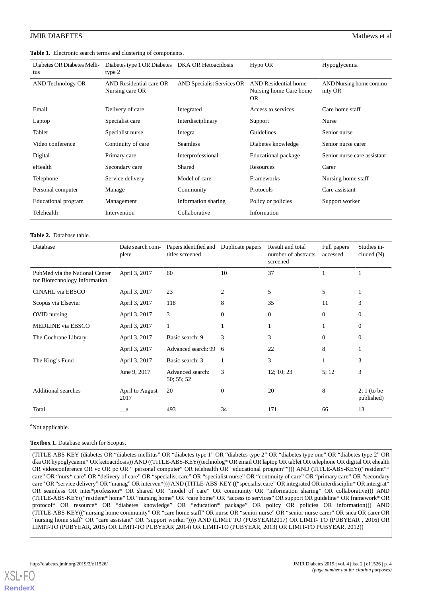### <span id="page-3-0"></span>**Table 1.** Electronic search terms and clustering of components.

| Diabetes OR Diabetes Melli-<br>tus | Diabetes type 1 OR Diabetes DKA OR Hetoacidosis<br>type 2 |                                   | Hypo OR                                                            | Hypoglycemia                       |
|------------------------------------|-----------------------------------------------------------|-----------------------------------|--------------------------------------------------------------------|------------------------------------|
| AND Technology OR                  | AND Residential care OR<br>Nursing care OR                | <b>AND Specialist Services OR</b> | <b>AND</b> Residential home<br>Nursing home Care home<br><b>OR</b> | AND Nursing home commu-<br>nity OR |
| Email                              | Delivery of care                                          | Integrated                        | Access to services                                                 | Care home staff                    |
| Laptop                             | Specialist care                                           | Interdisciplinary                 | Support                                                            | Nurse                              |
| Tablet                             | Specialist nurse                                          | Integra                           | Guidelines                                                         | Senior nurse                       |
| Video conference                   | Continuity of care                                        | <b>Seamless</b>                   | Diabetes knowledge                                                 | Senior nurse carer                 |
| Digital                            | Primary care                                              | Interprofessional                 | Educational package                                                | Senior nurse care assistant        |
| eHealth                            | Secondary care                                            | Shared                            | Resources                                                          | Carer                              |
| Telephone                          | Service delivery                                          | Model of care                     | Frameworks                                                         | Nursing home staff                 |
| Personal computer                  | Manage                                                    | Community                         | Protocols                                                          | Care assistant                     |
| Educational program                | Management                                                | Information sharing               | Policy or policies                                                 | Support worker                     |
| Telehealth                         | Intervention                                              | Collaborative                     | Information                                                        |                                    |

### <span id="page-3-1"></span>**Table 2.** Database table.

| Database                                                        | Date search com-<br>plete | Papers identified and<br>titles screened | Duplicate papers | Result and total<br>number of abstracts<br>screened | Full papers<br>accessed | Studies in-<br>cluded (N)   |
|-----------------------------------------------------------------|---------------------------|------------------------------------------|------------------|-----------------------------------------------------|-------------------------|-----------------------------|
| PubMed via the National Center<br>for Biotechnology Information | April 3, 2017             | 60                                       | 10               | 37                                                  |                         |                             |
| CINAHL via EBSCO                                                | April 3, 2017             | 23                                       | 2                | 5                                                   | 5                       |                             |
| Scopus via Elsevier                                             | April 3, 2017             | 118                                      | 8                | 35                                                  | 11                      | 3                           |
| OVID nursing                                                    | April 3, 2017             | 3                                        | $\overline{0}$   | $\mathbf{0}$                                        | $\theta$                | $\theta$                    |
| MEDLINE via EBSCO                                               | April 3, 2017             | $\mathbf{1}$                             |                  |                                                     |                         | $\theta$                    |
| The Cochrane Library                                            | April 3, 2017             | Basic search: 9                          | 3                | 3                                                   | $\theta$                | $\theta$                    |
|                                                                 | April 3, 2017             | Advanced search: 99                      | 6                | 22                                                  | 8                       |                             |
| The King's Fund                                                 | April 3, 2017             | Basic search: 3                          | 1                | 3                                                   |                         | 3                           |
|                                                                 | June 9, 2017              | Advanced search:<br>50; 55; 52           | 3                | 12; 10; 23                                          | 5;12                    | 3                           |
| Additional searches                                             | April to August<br>2017   | 20                                       | $\overline{0}$   | 20                                                  | 8                       | $2; 1$ (to be<br>published) |
| Total                                                           | a                         | 493                                      | 34               | 171                                                 | 66                      | 13                          |

### <span id="page-3-2"></span><sup>a</sup>Not applicable.

### Textbox 1. Database search for Scopus.

(TITLE-ABS-KEY (diabetes OR "diabetes mellitus" OR "diabetes type 1" OR "diabetes type 2" OR "diabetes type one" OR "diabetes type 2" OR dka OR hypoglycaemi\* OR ketoacidosis)) AND ((TITLE-ABS-KEY((technolog\* OR email OR laptop OR tablet OR telephone OR digital OR ehealth OR videoconference OR vc OR pc OR " personal computer" OR telehealth OR "educational program""))) AND (TITLE-ABS-KEY(("resident"\* care" OR "nurs\* care" OR "delivery of care" OR "specialist care" OR "specialist nurse" OR "continuity of care" OR "primary care" OR "secondary care" OR "service delivery" OR "manag" OR interven\*))) AND (TITLE-ABS-KEY (("specialist care" OR integrated OR interdisciplin\* OR intergrat\* OR seamless OR inter\*profession\* OR shared OR "model of care" OR community OR "information sharing" OR collaborative))) AND (TITLE-ABS-KEY(("resident\* home" OR "nursing home" OR "care home" OR "access to services" OR support OR guideline\* OR framework\* OR protocol\* OR resource\* OR "diabetes knowledge" OR "education\* package" OR policy OR policies OR information))) AND (TITLE-ABS-KEY(("nursing home community" OR "care home staff" OR nurse OR "senior nurse" OR "senior nurse carer" OR snca OR carer OR "nursing home staff" OR "care assistant" OR "support worker")))) AND (LIMIT TO (PUBYEAR2017) OR LIMIT- TO (PUBYEAR , 2016) OR LIMIT-TO (PUBYEAR, 2015) OR LIMIT-TO PUBYEAR ,2014) OR LIMIT-TO (PUBYEAR, 2013) OR LIMIT-TO PUBYEAR, 2012))

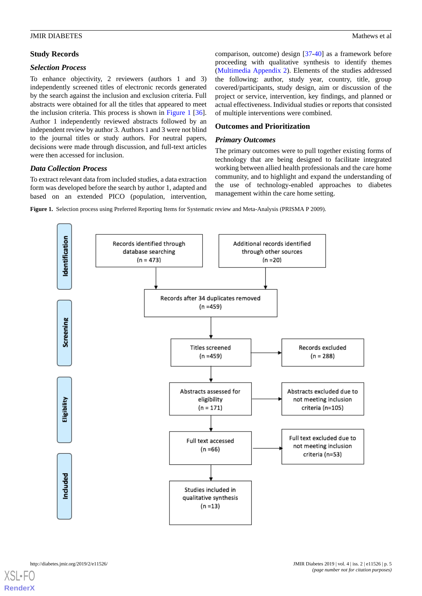### *Selection Process*

To enhance objectivity, 2 reviewers (authors 1 and 3) independently screened titles of electronic records generated by the search against the inclusion and exclusion criteria. Full abstracts were obtained for all the titles that appeared to meet the inclusion criteria. This process is shown in [Figure 1](#page-4-0) [[36\]](#page-12-10). Author 1 independently reviewed abstracts followed by an independent review by author 3. Authors 1 and 3 were not blind to the journal titles or study authors. For neutral papers, decisions were made through discussion, and full-text articles were then accessed for inclusion.

### *Data Collection Process*

<span id="page-4-0"></span>To extract relevant data from included studies, a data extraction form was developed before the search by author 1, adapted and based on an extended PICO (population, intervention,

comparison, outcome) design [\[37](#page-12-11)-[40\]](#page-12-12) as a framework before proceeding with qualitative synthesis to identify themes ([Multimedia Appendix 2\)](#page-10-2). Elements of the studies addressed the following: author, study year, country, title, group covered/participants, study design, aim or discussion of the project or service, intervention, key findings, and planned or actual effectiveness. Individual studies or reports that consisted of multiple interventions were combined.

### **Outcomes and Prioritization**

### *Primary Outcomes*

The primary outcomes were to pull together existing forms of technology that are being designed to facilitate integrated working between allied health professionals and the care home community, and to highlight and expand the understanding of the use of technology-enabled approaches to diabetes management within the care home setting.

**Figure 1.** Selection process using Preferred Reporting Items for Systematic review and Meta-Analysis (PRISMA P 2009).

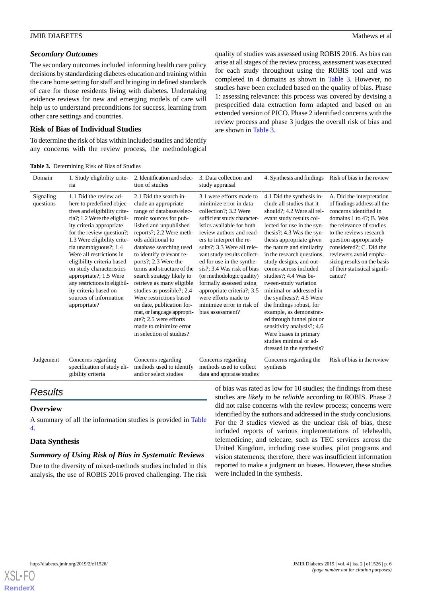### *Secondary Outcomes*

The secondary outcomes included informing health care policy decisions by standardizing diabetes education and training within the care home setting for staff and bringing in defined standards of care for those residents living with diabetes. Undertaking evidence reviews for new and emerging models of care will help us to understand preconditions for success, learning from other care settings and countries.

### **Risk of Bias of Individual Studies**

<span id="page-5-0"></span>To determine the risk of bias within included studies and identify any concerns with the review process, the methodological quality of studies was assessed using ROBIS 2016. As bias can arise at all stages of the review process, assessment was executed for each study throughout using the ROBIS tool and was completed in 4 domains as shown in [Table 3.](#page-5-0) However, no studies have been excluded based on the quality of bias. Phase 1: assessing relevance: this process was covered by devising a prespecified data extraction form adapted and based on an extended version of PICO. Phase 2 identified concerns with the review process and phase 3 judges the overall risk of bias and are shown in [Table 3](#page-5-0).

| <b>Table 3.</b> Determining Risk of Bias of Studies |  |
|-----------------------------------------------------|--|
|-----------------------------------------------------|--|

| Domain                 | 1. Study eligibility crite-<br>ria                                                                                                                                                                                                                                                                                                                                                                                                                       | 2. Identification and selec-<br>tion of studies                                                                                                                                                                                                                                                                                                                                                                                                                                                                                                            | 3. Data collection and<br>study appraisal                                                                                                                                                                                                                                                                                                                                                                                                                                              | 4. Synthesis and findings Risk of bias in the review                                                                                                                                                                                                                                                                                                                                                                                                                                                                                                                                                                               |                                                                                                                                                                                                                                                                                                                               |
|------------------------|----------------------------------------------------------------------------------------------------------------------------------------------------------------------------------------------------------------------------------------------------------------------------------------------------------------------------------------------------------------------------------------------------------------------------------------------------------|------------------------------------------------------------------------------------------------------------------------------------------------------------------------------------------------------------------------------------------------------------------------------------------------------------------------------------------------------------------------------------------------------------------------------------------------------------------------------------------------------------------------------------------------------------|----------------------------------------------------------------------------------------------------------------------------------------------------------------------------------------------------------------------------------------------------------------------------------------------------------------------------------------------------------------------------------------------------------------------------------------------------------------------------------------|------------------------------------------------------------------------------------------------------------------------------------------------------------------------------------------------------------------------------------------------------------------------------------------------------------------------------------------------------------------------------------------------------------------------------------------------------------------------------------------------------------------------------------------------------------------------------------------------------------------------------------|-------------------------------------------------------------------------------------------------------------------------------------------------------------------------------------------------------------------------------------------------------------------------------------------------------------------------------|
| Signaling<br>questions | 1.1 Did the review ad-<br>here to predefined objec-<br>tives and eligibility crite-<br>ria?; 1.2 Were the eligibil-<br>ity criteria appropriate<br>for the review question?;<br>1.3 Were eligibility crite-<br>ria unambiguous?; 1.4<br>Were all restrictions in<br>eligibility criteria based<br>on study characteristics<br>appropriate?; 1.5 Were<br>any restrictions in eligibil-<br>ity criteria based on<br>sources of information<br>appropriate? | 2.1 Did the search in-<br>clude an appropriate<br>range of databases/elec-<br>tronic sources for pub-<br>lished and unpublished<br>reports?; 2.2 Were meth-<br>ods additional to<br>database searching used<br>to identify relevant re-<br>ports?; 2.3 Were the<br>terms and structure of the<br>search strategy likely to<br>retrieve as many eligible<br>studies as possible?; 2.4<br>Were restrictions based<br>on date, publication for-<br>mat, or language appropri-<br>ate?; 2.5 were efforts<br>made to minimize error<br>in selection of studies? | 3.1 were efforts made to<br>minimize error in data<br>collection?; 3.2 Were<br>sufficient study character-<br>istics available for both<br>review authors and read-<br>ers to interpret the re-<br>sults?; 3.3 Were all rele-<br>vant study results collect-<br>ed for use in the synthe-<br>sis?: 3.4 Was risk of bias<br>(or methodologic quality)<br>formally assessed using<br>appropriate criteria?; 3.5<br>were efforts made to<br>minimize error in risk of<br>bias assessment? | 4.1 Did the synthesis in-<br>clude all studies that it<br>should?; 4.2 Were all rel-<br>evant study results col-<br>lected for use in the syn-<br>thesis?; 4.3 Was the syn-<br>thesis appropriate given<br>the nature and similarity<br>in the research questions,<br>study designs, and out-<br>comes across included<br>studies?; 4.4 Was be-<br>tween-study variation<br>minimal or addressed in<br>the synthesis?; 4.5 Were<br>the findings robust, for<br>example, as demonstrat-<br>ed through funnel plot or<br>sensitivity analysis?; 4.6<br>Were biases in primary<br>studies minimal or ad-<br>dressed in the synthesis? | A. Did the interpretation<br>of findings address all the<br>concerns identified in<br>domains 1 to 4?; B. Was<br>the relevance of studies<br>to the reviews research<br>question appropriately<br>considered?; C. Did the<br>reviewers avoid empha-<br>sizing results on the basis<br>of their statistical signifi-<br>cance? |
| Judgement              | Concerns regarding<br>specification of study eli-<br>gibility criteria                                                                                                                                                                                                                                                                                                                                                                                   | Concerns regarding<br>methods used to identify<br>and/or select studies                                                                                                                                                                                                                                                                                                                                                                                                                                                                                    | Concerns regarding<br>methods used to collect<br>data and appraise studies                                                                                                                                                                                                                                                                                                                                                                                                             | Concerns regarding the<br>synthesis                                                                                                                                                                                                                                                                                                                                                                                                                                                                                                                                                                                                | Risk of bias in the review                                                                                                                                                                                                                                                                                                    |
|                        |                                                                                                                                                                                                                                                                                                                                                                                                                                                          |                                                                                                                                                                                                                                                                                                                                                                                                                                                                                                                                                            |                                                                                                                                                                                                                                                                                                                                                                                                                                                                                        |                                                                                                                                                                                                                                                                                                                                                                                                                                                                                                                                                                                                                                    |                                                                                                                                                                                                                                                                                                                               |

## *Results*

### **Overview**

A summary of all the information studies is provided in [Table](#page-6-0) [4.](#page-6-0)

### **Data Synthesis**

### *Summary of Using Risk of Bias in Systematic Reviews*

Due to the diversity of mixed-methods studies included in this analysis, the use of ROBIS 2016 proved challenging. The risk

of bias was rated as low for 10 studies; the findings from these studies are *likely to be reliable* according to ROBIS. Phase 2 did not raise concerns with the review process; concerns were identified by the authors and addressed in the study conclusions. For the 3 studies viewed as the unclear risk of bias, these included reports of various implementations of telehealth, telemedicine, and telecare, such as TEC services across the United Kingdom, including case studies, pilot programs and vision statements; therefore, there was insufficient information reported to make a judgment on biases. However, these studies were included in the synthesis.

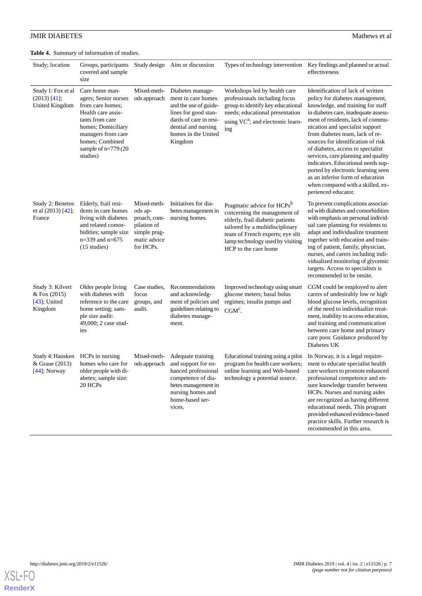<span id="page-6-0"></span>**Table 4.** Summary of information of studies.

| Study; location                                                | Groups, participants<br>covered and sample<br>size                                                                                                                                                      |                                                                                                    | Study design Aim or discussion                                                                                                                                             |                                                                                                                                                                                                                                               | Types of technology intervention Key findings and planned or actual<br>effectiveness                                                                                                                                                                                                                                                                                                                                                                                                                                                                       |
|----------------------------------------------------------------|---------------------------------------------------------------------------------------------------------------------------------------------------------------------------------------------------------|----------------------------------------------------------------------------------------------------|----------------------------------------------------------------------------------------------------------------------------------------------------------------------------|-----------------------------------------------------------------------------------------------------------------------------------------------------------------------------------------------------------------------------------------------|------------------------------------------------------------------------------------------------------------------------------------------------------------------------------------------------------------------------------------------------------------------------------------------------------------------------------------------------------------------------------------------------------------------------------------------------------------------------------------------------------------------------------------------------------------|
| Study 1: Fox et al<br>$(2013)$ [41];<br><b>United Kingdom</b>  | Care home man-<br>agers; Senior nurses<br>from care homes;<br>Health care assis-<br>tants from care<br>homes; Domiciliary<br>managers from care<br>homes; Combined<br>sample of $n=779(20)$<br>studies) | Mixed-meth-<br>ods approach                                                                        | Diabetes manage-<br>ment in care homes<br>and the use of guide-<br>lines for good stan-<br>dards of care in resi-<br>dential and nursing<br>homes in the United<br>Kingdom | Workshops led by health care<br>professionals including focus<br>group to identify key educational<br>needs; educational presentation<br>using VC <sup>a</sup> ; and electronic learn-<br>ing                                                 | Identification of lack of written<br>policy for diabetes management,<br>knowledge, and training for staff<br>in diabetes care, inadequate assess-<br>ment of residents, lack of commu-<br>nication and specialist support<br>from diabetes team, lack of re-<br>sources for identification of risk<br>of diabetes, access to specialist<br>services, care planning and quality<br>indicators. Educational needs sup-<br>ported by electronic learning seen<br>as an inferior form of education<br>when compared with a skilled, ex-<br>perienced educator. |
| Study 2: Benetos<br>et al (2013) [42];<br>France               | Elderly, frail resi-<br>dents in care homes<br>living with diabetes<br>and related comor-<br>bidities; sample size<br>$n=339$ and $n=675$<br>$(15$ studies)                                             | Mixed-meth-<br>ods ap-<br>proach, com-<br>pilation of<br>simple prag-<br>matic advice<br>for HCPs. | Initiatives for dia-<br>betes management in<br>nursing homes.                                                                                                              | Pragmatic advice for HCPs <sup>b</sup><br>concerning the management of<br>elderly, frail diabetic patients<br>tailored by a multidisciplinary<br>team of French experts; eye slit<br>lamp technology used by visiting<br>HCP to the care home | To prevent complications associat-<br>ed with diabetes and comorbidities<br>with emphasis on personal individ-<br>ual care planning for residents to<br>adapt and individualize treatment<br>together with education and train-<br>ing of patient, family, physician,<br>nurses, and carers including indi-<br>vidualized monitoring of glycemic<br>targets. Access to specialists is<br>recommended to be onsite.                                                                                                                                         |
| Study 3: Kilvert<br>& Fox (2015)<br>$[43]$ ; United<br>Kingdom | Older people living<br>with diabetes with<br>reference to the care<br>home setting; sam-<br>ple size audit:<br>49,000; 2 case stud-<br>ies                                                              | Case studies,<br>focus<br>groups, and<br>audit.                                                    | Recommendations<br>and acknowledg-<br>ment of policies and<br>guidelines relating to<br>diabetes manage-<br>ment.                                                          | Improved technology using smart<br>glucose meters; basal bolus<br>regimes; insulin pumps and<br>$CGMc$ .                                                                                                                                      | CGM could be employed to alert<br>carers of undesirably low or high<br>blood glucose levels, recognition<br>of the need to individualize treat-<br>ment, inability to access education,<br>and training and communication<br>between care home and primary<br>care poor. Guidance produced by<br>Diabetes UK                                                                                                                                                                                                                                               |
| Study 4: Hausken<br>& Graue (2013)<br>$[44]$ ; Norway          | HCPs in nursing<br>homes who care for<br>older people with di-<br>abetes; sample size:<br>20 HCPs                                                                                                       | Mixed-meth-<br>ods approach                                                                        | Adequate training<br>and support for en-<br>hanced professional<br>competence of dia-<br>betes management in<br>nursing homes and<br>home-based ser-<br>vices.             | Educational training using a pilot<br>program for health care workers;<br>online learning and Web-based<br>technology a potential source.                                                                                                     | In Norway, it is a legal require-<br>ment to educate specialist health<br>care workers to promote enhanced<br>professional competence and en-<br>sure knowledge transfer between<br>HCPs. Nurses and nursing aides<br>are recognized as having different<br>educational needs. This program<br>provided enhanced evidence-based<br>practice skills. Further research is<br>recommended in this area.                                                                                                                                                       |

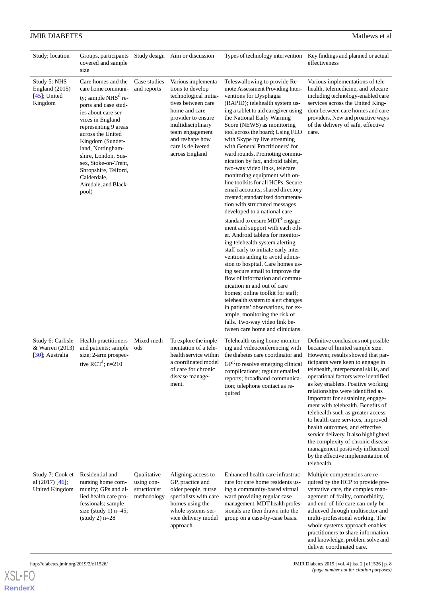| Study; location                                                | Groups, participants<br>covered and sample<br>size                                                                                                                                                                                                                                                                                                |                                                          | Study design Aim or discussion                                                                                                                                                                                                  |                                                                                                                                                                                                                                                                                                                                                                                                                                                                                                                                                                                                                                                                                                                                                                                                                                                                                                                                                                                                                                                                                                                                                                                                                                                               | Types of technology intervention Key findings and planned or actual<br>effectiveness                                                                                                                                                                                                                                                                                                                                                                                                                                                                                                                                                                                 |
|----------------------------------------------------------------|---------------------------------------------------------------------------------------------------------------------------------------------------------------------------------------------------------------------------------------------------------------------------------------------------------------------------------------------------|----------------------------------------------------------|---------------------------------------------------------------------------------------------------------------------------------------------------------------------------------------------------------------------------------|---------------------------------------------------------------------------------------------------------------------------------------------------------------------------------------------------------------------------------------------------------------------------------------------------------------------------------------------------------------------------------------------------------------------------------------------------------------------------------------------------------------------------------------------------------------------------------------------------------------------------------------------------------------------------------------------------------------------------------------------------------------------------------------------------------------------------------------------------------------------------------------------------------------------------------------------------------------------------------------------------------------------------------------------------------------------------------------------------------------------------------------------------------------------------------------------------------------------------------------------------------------|----------------------------------------------------------------------------------------------------------------------------------------------------------------------------------------------------------------------------------------------------------------------------------------------------------------------------------------------------------------------------------------------------------------------------------------------------------------------------------------------------------------------------------------------------------------------------------------------------------------------------------------------------------------------|
| Study 5: NHS<br>England $(2015)$<br>$[45]$ ; United<br>Kingdom | Care homes and the<br>care home communi-<br>ty; sample $NHSd$ re-<br>ports and case stud-<br>ies about care ser-<br>vices in England<br>representing 9 areas<br>across the United<br>Kingdom (Sunder-<br>land, Nottingham-<br>shire, London, Sus-<br>sex, Stoke-on-Trent,<br>Shropshire, Telford,<br>Calderdale,<br>Airedale, and Black-<br>pool) | Case studies<br>and reports                              | Various implementa-<br>tions to develop<br>technological initia-<br>tives between care<br>home and care<br>provider to ensure<br>multidisciplinary<br>team engagement<br>and reshape how<br>care is delivered<br>across England | Teleswallowing to provide Re-<br>mote Assessment Providing Inter-<br>ventions for Dysphagia<br>(RAPID); telehealth system us-<br>ing a tablet to aid caregiver using<br>the National Early Warning<br>Score (NEWS) as monitoring<br>tool across the board; Using FLO<br>with Skype by live streaming<br>with General Practitioners' for<br>ward rounds. Promoting commu-<br>nication by fax, android tablet,<br>two-way video links, telecare<br>monitoring equipment with on-<br>line toolkits for all HCPs. Secure<br>email accounts; shared directory<br>created; standardized documenta-<br>tion with structured messages<br>developed to a national care<br>standard to ensure MDT <sup>e</sup> engage-<br>ment and support with each oth-<br>er. Android tablets for monitor-<br>ing telehealth system alerting<br>staff early to initiate early inter-<br>ventions aiding to avoid admis-<br>sion to hospital. Care homes us-<br>ing secure email to improve the<br>flow of information and commu-<br>nication in and out of care<br>homes; online toolkit for staff;<br>telehealth system to alert changes<br>in patients' observations, for ex-<br>ample, monitoring the risk of<br>falls. Two-way video link be-<br>tween care home and clinicians. | Various implementations of tele-<br>health, telemedicine, and telecare<br>including technology-enabled care<br>services across the United King-<br>dom between care homes and care<br>providers. New and proactive ways<br>of the delivery of safe, effective<br>care.                                                                                                                                                                                                                                                                                                                                                                                               |
| Study 6: Carlisle<br>& Warren (2013)<br>[30]; Australia        | Health practitioners<br>and patients; sample<br>size; 2-arm prospec-<br>tive $\text{RCT}^f$ ; n=210                                                                                                                                                                                                                                               | Mixed-meth-<br>ods                                       | To explore the imple-<br>mentation of a tele-<br>health service within<br>a coordinated model<br>of care for chronic<br>disease manage-<br>ment.                                                                                | Telehealth using home monitor-<br>ing and videoconferencing with<br>the diabetes care coordinator and<br>$GPg$ to resolve emerging clinical<br>complications; regular emailed<br>reports; broadband communica-<br>tion; telephone contact as re-<br>quired                                                                                                                                                                                                                                                                                                                                                                                                                                                                                                                                                                                                                                                                                                                                                                                                                                                                                                                                                                                                    | Definitive conclusions not possible<br>because of limited sample size.<br>However, results showed that par-<br>ticipants were keen to engage in<br>telehealth, interpersonal skills, and<br>operational factors were identified<br>as key enablers. Positive working<br>relationships were identified as<br>important for sustaining engage-<br>ment with telehealth. Benefits of<br>telehealth such as greater access<br>to health care services, improved<br>health outcomes, and effective<br>service delivery. It also highlighted<br>the complexity of chronic disease<br>management positively influenced<br>by the effective implementation of<br>telehealth. |
| Study 7: Cook et<br>al $(2017)$ [46];<br>United Kingdom        | Residential and<br>nursing home com-<br>munity; GPs and al-<br>lied health care pro-<br>fessionals; sample<br>size (study 1) $n=45$ ;<br>$(statdy 2) n=28$                                                                                                                                                                                        | Qualitative<br>using con-<br>structionist<br>methodology | Aligning access to<br>GP, practice and<br>older people, nurse<br>specialists with care<br>homes using the<br>whole systems ser-<br>vice delivery model<br>approach.                                                             | Enhanced health care infrastruc-<br>ture for care home residents us-<br>ing a community-based virtual<br>ward providing regular case<br>management. MDT health profes-<br>sionals are then drawn into the<br>group on a case-by-case basis.                                                                                                                                                                                                                                                                                                                                                                                                                                                                                                                                                                                                                                                                                                                                                                                                                                                                                                                                                                                                                   | Multiple competencies are re-<br>quired by the HCP to provide pre-<br>ventative care, the complex man-<br>agement of frailty, comorbidity,<br>and end-of-life care can only be<br>achieved through multisector and<br>multi-professional working. The<br>whole systems approach enables<br>practitioners to share information<br>and knowledge, problem solve and                                                                                                                                                                                                                                                                                                    |

**[RenderX](http://www.renderx.com/)**

http://diabetes.jmir.org/2019/2/e11526/ JMIR Diabetes 2019 | vol. 4 | iss. 2 | e11526 | p. 8 *(page number not for citation purposes)*

deliver coordinated care.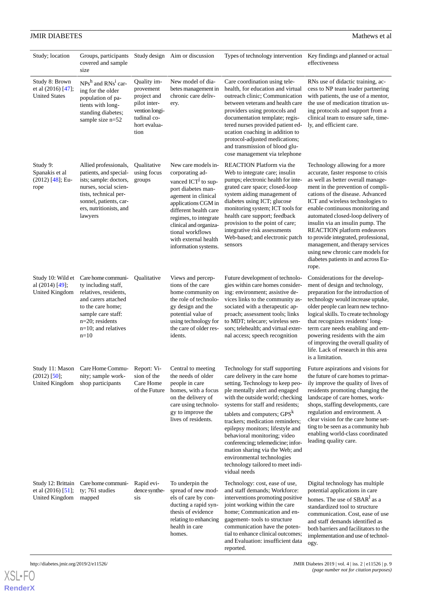| Study; location                                              | Groups, participants<br>covered and sample<br>size                                                                                                                                             |                                                                                                                  | Study design Aim or discussion                                                                                                                                                                                                                                                                | Types of technology intervention                                                                                                                                                                                                                                                                                                                                                                                                                                                                                              | Key findings and planned or actual<br>effectiveness                                                                                                                                                                                                                                                                                                                                                                                                                                                                                  |
|--------------------------------------------------------------|------------------------------------------------------------------------------------------------------------------------------------------------------------------------------------------------|------------------------------------------------------------------------------------------------------------------|-----------------------------------------------------------------------------------------------------------------------------------------------------------------------------------------------------------------------------------------------------------------------------------------------|-------------------------------------------------------------------------------------------------------------------------------------------------------------------------------------------------------------------------------------------------------------------------------------------------------------------------------------------------------------------------------------------------------------------------------------------------------------------------------------------------------------------------------|--------------------------------------------------------------------------------------------------------------------------------------------------------------------------------------------------------------------------------------------------------------------------------------------------------------------------------------------------------------------------------------------------------------------------------------------------------------------------------------------------------------------------------------|
| Study 8: Brown<br>et al (2016) [47];<br><b>United States</b> | $NPsh$ and $RNsi$ car-<br>ing for the older<br>population of pa-<br>tients with long-<br>standing diabetes;<br>sample size n=52                                                                | Quality im-<br>provement<br>project and<br>pilot inter-<br>vention longi-<br>tudinal co-<br>hort evalua-<br>tion | New model of dia-<br>betes management in<br>chronic care deliv-<br>ery.                                                                                                                                                                                                                       | Care coordination using tele-<br>health, for education and virtual<br>outreach clinic; Communication<br>between veterans and health care<br>providers using protocols and<br>documentation template; regis-<br>tered nurses provided patient ed-<br>ucation coaching in addition to<br>protocol-adjusted medications;<br>and transmission of blood glu-<br>cose management via telephone                                                                                                                                      | RNs use of didactic training, ac-<br>cess to NP team leader partnering<br>with patients, the use of a mentor,<br>the use of medication titration us-<br>ing protocols and support from a<br>clinical team to ensure safe, time-<br>ly, and efficient care.                                                                                                                                                                                                                                                                           |
| Study 9:<br>Spanakis et al<br>$(2012)$ [48]; Eu-<br>rope     | Allied professionals,<br>patients, and special-<br>ists; sample: doctors,<br>nurses, social scien-<br>tists, technical per-<br>sonnel, patients, car-<br>ers, nutritionists, and<br>lawyers    | Qualitative<br>using focus<br>groups                                                                             | New care models in-<br>corporating ad-<br>vanced ICT <sup>j</sup> to sup-<br>port diabetes man-<br>agement in clinical<br>applications CGM in<br>different health care<br>regimes, to integrate<br>clinical and organiza-<br>tional workflows<br>with external health<br>information systems. | REACTION Platform via the<br>Web to integrate care; insulin<br>pumps; electronic health for inte-<br>grated care space; closed-loop<br>system aiding management of<br>diabetes using ICT; glucose<br>monitoring system; ICT tools for<br>health care support; feedback<br>provision to the point of care;<br>integrative risk assessments<br>Web-based; and electronic patch<br>sensors                                                                                                                                       | Technology allowing for a more<br>accurate, faster response to crisis<br>as well as better overall manage-<br>ment in the prevention of compli-<br>cations of the disease. Advanced<br>ICT and wireless technologies to<br>enable continuous monitoring and<br>automated closed-loop delivery of<br>insulin via an insulin pump. The<br>REACTION platform endeavors<br>to provide integrated, professional,<br>management, and therapy services<br>using new chronic care models for<br>diabetes patients in and across Eu-<br>rope. |
| Study 10: Wild et<br>al (2014) [49];<br>United Kingdom       | Care home communi-<br>ty including staff,<br>relatives, residents,<br>and carers attached<br>to the care home;<br>sample care staff:<br>$n=20$ ; residents<br>$n=10$ ; and relatives<br>$n=10$ | Qualitative                                                                                                      | Views and percep-<br>tions of the care<br>home community on<br>the role of technolo-<br>gy design and the<br>potential value of<br>using technology for<br>the care of older res-<br>idents.                                                                                                  | Future development of technolo-<br>gies within care homes consider-<br>ing: environment; assistive de-<br>vices links to the community as-<br>sociated with a therapeutic ap-<br>proach; assessment tools; links<br>to MDT; telecare; wireless sen-<br>sors; telehealth; and virtual exter-<br>nal access; speech recognition                                                                                                                                                                                                 | Considerations for the develop-<br>ment of design and technology,<br>preparation for the introduction of<br>technology would increase uptake,<br>older people can learn new techno-<br>logical skills. To create technology<br>that recognizes residents' long-<br>term care needs enabling and em-<br>powering residents with the aim<br>of improving the overall quality of<br>life. Lack of research in this area<br>is a limitation.                                                                                             |
| Study 11: Mason<br>$(2012)$ [50];<br>United Kingdom          | Care Home Commu-<br>nity; sample work-<br>shop participants                                                                                                                                    | Report: Vi-<br>sion of the<br>Care Home<br>of the Future                                                         | Central to meeting<br>the needs of older<br>people in care<br>homes, with a focus<br>on the delivery of<br>care using technolo-<br>gy to improve the<br>lives of residents.                                                                                                                   | Technology for staff supporting<br>care delivery in the care home<br>setting. Technology to keep peo-<br>ple mentally alert and engaged<br>with the outside world; checking<br>systems for staff and residents;<br>tablets and computers; GPS <sup>k</sup><br>trackers; medication reminders;<br>epilepsy monitors; lifestyle and<br>behavioral monitoring; video<br>conferencing; telemedicine; infor-<br>mation sharing via the Web; and<br>environmental technologies<br>technology tailored to meet indi-<br>vidual needs | Future aspirations and visions for<br>the future of care homes to primar-<br>ily improve the quality of lives of<br>residents promoting changing the<br>landscape of care homes, work-<br>shops, staffing developments, care<br>regulation and environment. A<br>clear vision for the care home set-<br>ting to be seen as a community hub<br>enabling world-class coordinated<br>leading quality care.                                                                                                                              |
| Study 12: Brittain<br>et al $(2016)$ [51];<br>United Kingdom | Care home communi-<br>ty; 761 studies<br>mapped                                                                                                                                                | Rapid evi-<br>dence synthe-<br>sis                                                                               | To underpin the<br>spread of new mod-<br>els of care by con-<br>ducting a rapid syn-<br>thesis of evidence<br>relating to enhancing<br>health in care<br>homes.                                                                                                                               | Technology: cost, ease of use,<br>and staff demands; Workforce:<br>interventions promoting positive<br>joint working within the care<br>home; Communication and en-<br>gagement-tools to structure<br>communication have the poten-<br>tial to enhance clinical outcomes;<br>and Evaluation: insufficient data                                                                                                                                                                                                                | Digital technology has multiple<br>potential applications in care<br>homes. The use of SBAR <sup>1</sup> as a<br>standardized tool to structure<br>communication. Cost, ease of use<br>and staff demands identified as<br>both barriers and facilitators to the<br>implementation and use of technol-<br>00v                                                                                                                                                                                                                         |

reported.

## **JMIR DIABETES** Mathews et al.

**[RenderX](http://www.renderx.com/)**

ogy.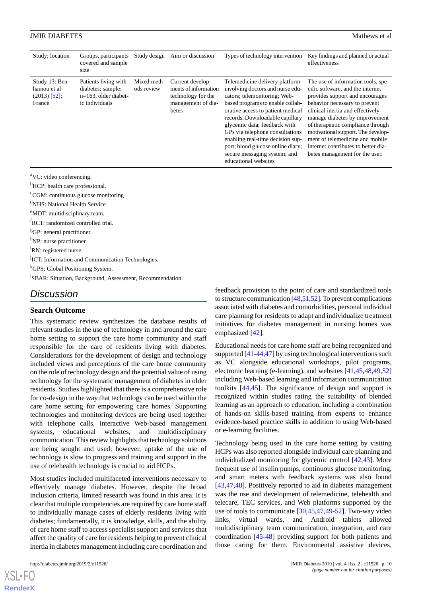| Study; location                                           | Groups, participants<br>covered and sample<br>size                                     | Study design              | Aim or discussion                                                                             | Types of technology intervention                                                                                                                                                                                                                                                                                                                                                                                   | Key findings and planned or actual<br>effectiveness                                                                                                                                                                                                                                                                                                                                                     |
|-----------------------------------------------------------|----------------------------------------------------------------------------------------|---------------------------|-----------------------------------------------------------------------------------------------|--------------------------------------------------------------------------------------------------------------------------------------------------------------------------------------------------------------------------------------------------------------------------------------------------------------------------------------------------------------------------------------------------------------------|---------------------------------------------------------------------------------------------------------------------------------------------------------------------------------------------------------------------------------------------------------------------------------------------------------------------------------------------------------------------------------------------------------|
| Study 13: Ben-<br>hamou et al<br>$(2013)$ [52];<br>France | Patients living with<br>diabetes; sample:<br>$n=163$ , older diabet-<br>ic individuals | Mixed-meth-<br>ods review | Current develop-<br>ments of information<br>technology for the<br>management of dia-<br>betes | Telemedicine delivery platform<br>involving doctors and nurse edu-<br>cators; telemonitoring; Web-<br>based programs to enable collab-<br>orative access to patient medical<br>records. Downloadable capillary<br>glycemic data; feedback with<br>GPs via telephone consultations<br>enabling real-time decision sup-<br>port; blood glucose online diary;<br>secure messaging system; and<br>educational websites | The use of information tools, spe-<br>cific software, and the internet<br>provides support and encourages<br>behavior necessary to prevent<br>clinical inertia and effectively<br>manage diabetes by improvement<br>of therapeutic compliance through<br>motivational support. The develop-<br>ment of telemedicine and mobile<br>internet contributes to better dia-<br>betes management for the user. |

<sup>a</sup>VC: video conferencing.

<sup>b</sup>HCP: health care professional.

<sup>c</sup>CGM: continuous glucose monitoring

<sup>d</sup>NHS: National Health Service

<sup>e</sup>MDT: multidisciplinary team.

<sup>f</sup>RCT: randomized controlled trial.

<sup>g</sup>GP: general practitioner.

h<sub>NP: nurse practitioner.</sub>

<sup>i</sup>RN: registered nurse.

<sup>j</sup>ICT: Information and Communication Technologies.

<sup>k</sup>GPS: Global Positioning System.

<sup>1</sup>SBAR: Situation, Background, Assessment, Recommendation.

## *Discussion*

### **Search Outcome**

This systematic review synthesizes the database results of relevant studies in the use of technology in and around the care home setting to support the care home community and staff responsible for the care of residents living with diabetes. Considerations for the development of design and technology included views and perceptions of the care home community on the role of technology design and the potential value of using technology for the systematic management of diabetes in older residents. Studies highlighted that there is a comprehensive role for co-design in the way that technology can be used within the care home setting for empowering care homes. Supporting technologies and monitoring devices are being used together with telephone calls, interactive Web-based management systems, educational websites, and multidisciplinary communication. This review highlights that technology solutions are being sought and used; however, uptake of the use of technology is slow to progress and training and support in the use of telehealth technology is crucial to aid HCPs.

Most studies included multifaceted interventions necessary to effectively manage diabetes. However, despite the broad inclusion criteria, limited research was found in this area. It is clear that multiple competencies are required by care home staff to individually manage cases of elderly residents living with diabetes; fundamentally, it is knowledge, skills, and the ability of care home staff to access specialist support and services that affect the quality of care for residents helping to prevent clinical inertia in diabetes management including care coordination and

feedback provision to the point of care and standardized tools to structure communication [\[48](#page-13-0)[,51](#page-13-3),[52](#page-13-4)]. To prevent complications associated with diabetes and comorbidities, personal individual care planning for residents to adapt and individualize treatment initiatives for diabetes management in nursing homes was emphasized [[42\]](#page-12-14).

Educational needs for care home staff are being recognized and supported [\[41](#page-12-13)-[44,](#page-12-16)[47](#page-12-19)] by using technological interventions such as VC alongside educational workshops, pilot programs, electronic learning (e-learning), and websites [\[41](#page-12-13),[45](#page-12-17)[,48](#page-13-0),[49](#page-13-1)[,52](#page-13-4)] including Web-based learning and information communication toolkits [[44](#page-12-16)[,45](#page-12-17)]. The significance of design and support is recognized within studies rating the suitability of blended learning as an approach to education, including a combination of hands-on skills-based training from experts to enhance evidence-based practice skills in addition to using Web-based or e-learning facilities.

Technology being used in the care home setting by visiting HCPs was also reported alongside individual care planning and individualized monitoring for glycemic control [[42](#page-12-14)[,43](#page-12-15)]. More frequent use of insulin pumps, continuous glucose monitoring, and smart meters with feedback systems was also found [[43,](#page-12-15)[47,](#page-12-19)[48\]](#page-13-0). Positively reported to aid in diabetes management was the use and development of telemedicine, telehealth and telecare, TEC services, and Web platforms supported by the use of tools to communicate [[30](#page-12-5)[,45](#page-12-17),[47](#page-12-19)[,49](#page-13-1)-[52\]](#page-13-4). Two-way video links, virtual wards, and Android tablets allowed multidisciplinary team communication, integration, and care coordination [\[45](#page-12-17)[-48](#page-13-0)] providing support for both patients and those caring for them. Environmental assistive devices,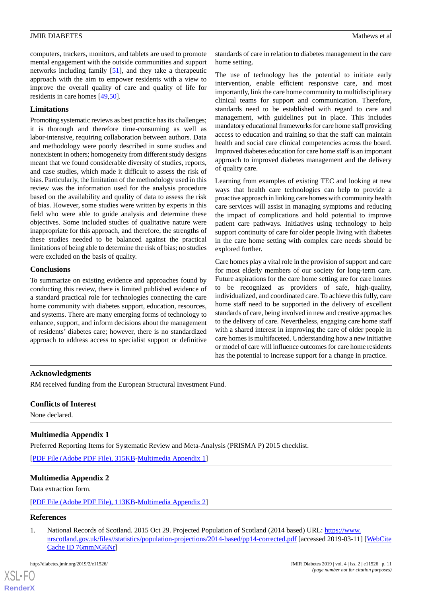computers, trackers, monitors, and tablets are used to promote mental engagement with the outside communities and support networks including family [\[51](#page-13-3)], and they take a therapeutic approach with the aim to empower residents with a view to improve the overall quality of care and quality of life for residents in care homes [[49](#page-13-1)[,50](#page-13-2)].

### **Limitations**

Promoting systematic reviews as best practice has its challenges; it is thorough and therefore time-consuming as well as labor-intensive, requiring collaboration between authors. Data and methodology were poorly described in some studies and nonexistent in others; homogeneity from different study designs meant that we found considerable diversity of studies, reports, and case studies, which made it difficult to assess the risk of bias. Particularly, the limitation of the methodology used in this review was the information used for the analysis procedure based on the availability and quality of data to assess the risk of bias. However, some studies were written by experts in this field who were able to guide analysis and determine these objectives. Some included studies of qualitative nature were inappropriate for this approach, and therefore, the strengths of these studies needed to be balanced against the practical limitations of being able to determine the risk of bias; no studies were excluded on the basis of quality.

### **Conclusions**

To summarize on existing evidence and approaches found by conducting this review, there is limited published evidence of a standard practical role for technologies connecting the care home community with diabetes support, education, resources, and systems. There are many emerging forms of technology to enhance, support, and inform decisions about the management of residents' diabetes care; however, there is no standardized approach to address access to specialist support or definitive

standards of care in relation to diabetes management in the care home setting.

The use of technology has the potential to initiate early intervention, enable efficient responsive care, and most importantly, link the care home community to multidisciplinary clinical teams for support and communication. Therefore, standards need to be established with regard to care and management, with guidelines put in place. This includes mandatory educational frameworks for care home staff providing access to education and training so that the staff can maintain health and social care clinical competencies across the board. Improved diabetes education for care home staff is an important approach to improved diabetes management and the delivery of quality care.

Learning from examples of existing TEC and looking at new ways that health care technologies can help to provide a proactive approach in linking care homes with community health care services will assist in managing symptoms and reducing the impact of complications and hold potential to improve patient care pathways. Initiatives using technology to help support continuity of care for older people living with diabetes in the care home setting with complex care needs should be explored further.

Care homes play a vital role in the provision of support and care for most elderly members of our society for long-term care. Future aspirations for the care home setting are for care homes to be recognized as providers of safe, high-quality, individualized, and coordinated care. To achieve this fully, care home staff need to be supported in the delivery of excellent standards of care, being involved in new and creative approaches to the delivery of care. Nevertheless, engaging care home staff with a shared interest in improving the care of older people in care homes is multifaceted. Understanding how a new initiative or model of care will influence outcomes for care home residents has the potential to increase support for a change in practice.

### **Acknowledgments**

<span id="page-10-1"></span>RM received funding from the European Structural Investment Fund.

### **Conflicts of Interest**

None declared.

### <span id="page-10-2"></span>**Multimedia Appendix 1**

Preferred Reporting Items for Systematic Review and Meta-Analysis (PRISMA P) 2015 checklist.

[[PDF File \(Adobe PDF File\), 315KB-Multimedia Appendix 1](https://jmir.org/api/download?alt_name=diabetes_v4i2e11526_app1.pdf&filename=077ecc1c76caf73fd6b8b1c2493a4b1e.pdf)]

### <span id="page-10-0"></span>**Multimedia Appendix 2**

Data extraction form.

[[PDF File \(Adobe PDF File\), 113KB-Multimedia Appendix 2](https://jmir.org/api/download?alt_name=diabetes_v4i2e11526_app2.pdf&filename=924959f69619459e41bda6b0b1d83f08.pdf)]

## **References**

[XSL](http://www.w3.org/Style/XSL)•FO **[RenderX](http://www.renderx.com/)**

1. National Records of Scotland. 2015 Oct 29. Projected Population of Scotland (2014 based) URL: [https://www.](https://www.nrscotland.gov.uk/files//statistics/population-projections/2014-based/pp14-corrected.pdf) [nrscotland.gov.uk/files//statistics/population-projections/2014-based/pp14-corrected.pdf](https://www.nrscotland.gov.uk/files//statistics/population-projections/2014-based/pp14-corrected.pdf) [accessed 2019-03-11] [[WebCite](http://www.webcitation.org/

                                76mmNG6Nr) [Cache ID 76mmNG6Nr\]](http://www.webcitation.org/

                                76mmNG6Nr)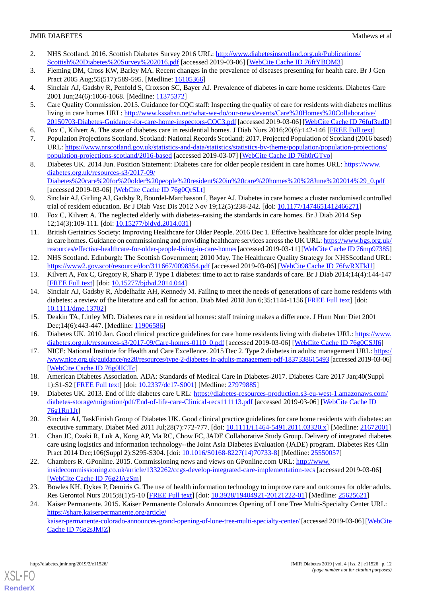- 2. NHS Scotland. 2016. Scottish Diabetes Survey 2016 URL: [http://www.diabetesinscotland.org.uk/Publications/](http://www.diabetesinscotland.org.uk/Publications/Scottish%20Diabetes%20Survey%202016.pdf) [Scottish%20Diabetes%20Survey%202016.pdf](http://www.diabetesinscotland.org.uk/Publications/Scottish%20Diabetes%20Survey%202016.pdf) [accessed 2019-03-06] [[WebCite Cache ID 76ftYBOM3\]](http://www.webcitation.org/

                                76ftYBOM3)
- <span id="page-11-0"></span>3. Fleming DM, Cross KW, Barley MA. Recent changes in the prevalence of diseases presenting for health care. Br J Gen Pract 2005 Aug;55(517):589-595. [Medline: [16105366\]](http://www.ncbi.nlm.nih.gov/entrez/query.fcgi?cmd=Retrieve&db=PubMed&list_uids=16105366&dopt=Abstract)
- <span id="page-11-13"></span><span id="page-11-1"></span>4. Sinclair AJ, Gadsby R, Penfold S, Croxson SC, Bayer AJ. Prevalence of diabetes in care home residents. Diabetes Care 2001 Jun; 24(6): 1066-1068. [Medline: [11375372](http://www.ncbi.nlm.nih.gov/entrez/query.fcgi?cmd=Retrieve&db=PubMed&list_uids=11375372&dopt=Abstract)]
- 5. Care Quality Commission. 2015. Guidance for CQC staff: Inspecting the quality of care for residents with diabetes mellitus living in care homes URL: [http://www.kssahsn.net/what-we-do/our-news/events/Care%20Homes%20Collaborative/](http://www.kssahsn.net/what-we-do/our-news/events/Care%20Homes%20Collaborative/20150703-Diabetes-Guidance-for-care-home-inspectors-CQC3.pdf) [20150703-Diabetes-Guidance-for-care-home-inspectors-CQC3.pdf](http://www.kssahsn.net/what-we-do/our-news/events/Care%20Homes%20Collaborative/20150703-Diabetes-Guidance-for-care-home-inspectors-CQC3.pdf) [accessed 2019-03-06] [\[WebCite Cache ID 76fuf3udD\]](http://www.webcitation.org/

                                76fuf3udD)
- <span id="page-11-3"></span><span id="page-11-2"></span>6. Fox C, Kilvert A. The state of diabetes care in residential homes. J Diab Nurs 2016;20(6):142-146 [\[FREE Full text\]](https://www.diabetesonthenet.com/uploads/resources/dotn/_master/4596/files/pdf/jdn20-4-142-6.pdf)
- <span id="page-11-4"></span>7. Population Projections Scotland. Scotland: National Records Scotland; 2017. Projected Population of Scotland (2016 based) URL: [https://www.nrscotland.gov.uk/statistics-and-data/statistics/statistics-by-theme/population/population-projections/](https://www.nrscotland.gov.uk/statistics-and-data/statistics/statistics-by-theme/population/population-projections/population-projections-scotland/2016-based) [population-projections-scotland/2016-based](https://www.nrscotland.gov.uk/statistics-and-data/statistics/statistics-by-theme/population/population-projections/population-projections-scotland/2016-based) [accessed 2019-03-07] [[WebCite Cache ID 76h0rGTvo\]](http://www.webcitation.org/

                                76h0rGTvo)
- 8. Diabetes UK. 2014 Jun. Position Statement: Diabetes care for older people resident in care homes URL: [https://www.](https://www.diabetes.org.uk/resources-s3/2017-09/Diabetes%20care%20for%20older%20people%20resident%20in%20care%20homes%20%28June%202014%29_0.pdf) [diabetes.org.uk/resources-s3/2017-09/](https://www.diabetes.org.uk/resources-s3/2017-09/Diabetes%20care%20for%20older%20people%20resident%20in%20care%20homes%20%28June%202014%29_0.pdf) [Diabetes%20care%20for%20older%20people%20resident%20in%20care%20homes%20%28June%202014%29\\_0.pdf](https://www.diabetes.org.uk/resources-s3/2017-09/Diabetes%20care%20for%20older%20people%20resident%20in%20care%20homes%20%28June%202014%29_0.pdf)
- <span id="page-11-6"></span><span id="page-11-5"></span>[accessed 2019-03-06] [\[WebCite Cache ID 76g0QrSLt\]](http://www.webcitation.org/

                                76g0QrSLt) 9. Sinclair AJ, Girling AJ, Gadsby R, Bourdel-Marchasson I, Bayer AJ. Diabetes in care homes: a cluster randomised controlled trial of resident education. Br J Diab Vasc Dis 2012 Nov 19;12(5):238-242. [doi: [10.1177/1474651412466271\]](http://dx.doi.org/10.1177/1474651412466271)
- <span id="page-11-7"></span>10. Fox C, Kilvert A. The neglected elderly with diabetes–raising the standards in care homes. Br J Diab 2014 Sep 12;14(3):109-111. [doi: [10.15277/bjdvd.2014.031](http://dx.doi.org/10.15277/bjdvd.2014.031)]
- <span id="page-11-8"></span>11. British Geriatrics Society: Improving Healthcare for Older People. 2016 Dec 1. Effective healthcare for older people living in care homes. Guidance on commissioning and providing healthcare services across the UK URL: [https://www.bgs.org.uk/](https://www.bgs.org.uk/resources/effective-healthcare-for-older-people-living-in-care-homes) [resources/effective-healthcare-for-older-people-living-in-care-homes](https://www.bgs.org.uk/resources/effective-healthcare-for-older-people-living-in-care-homes)[accessed 2019-03-11] [\[WebCite Cache ID 76mp97385\]](http://www.webcitation.org/

                                76mp97385)
- <span id="page-11-10"></span><span id="page-11-9"></span>12. NHS Scotland. Edinburgh: The Scottish Government; 2010 May. The Healthcare Quality Strategy for NHSScotland URL: <https://www2.gov.scot/resource/doc/311667/0098354.pdf> [accessed 2019-03-06] [[WebCite Cache ID 76fwRXFkU\]](http://www.webcitation.org/

                                76fwRXFkU)
- 13. Kilvert A, Fox C, Gregory R, Sharp P. Type 1 diabetes: time to act to raise standards of care. Br J Diab 2014;14(4):144-147 [[FREE Full text](https://bjd-abcd.com/index.php/bjd/article/view/39/93)] [doi: [10.15277/bjdvd.2014.044](http://dx.doi.org/10.15277/bjdvd.2014.044)]
- <span id="page-11-12"></span><span id="page-11-11"></span>14. Sinclair AJ, Gadsby R, Abdelhafiz AH, Kennedy M. Failing to meet the needs of generations of care home residents with diabetes: a review of the literature and call for action. Diab Med 2018 Jun 6;35:1144-1156 [[FREE Full text](https://onlinelibrary.wiley.com/doi/full/10.1111/dme.13702)] [doi: [10.1111/dme.13702](http://dx.doi.org/10.1111/dme.13702)]
- <span id="page-11-14"></span>15. Deakin TA, Littley MD. Diabetes care in residential homes: staff training makes a difference. J Hum Nutr Diet 2001 Dec;14(6):443-447. [Medline: [11906586](http://www.ncbi.nlm.nih.gov/entrez/query.fcgi?cmd=Retrieve&db=PubMed&list_uids=11906586&dopt=Abstract)]
- 16. Diabetes UK. 2010 Jan. Good clinical practice guidelines for care home residents living with diabetes URL: [https://www.](https://www.diabetes.org.uk/resources-s3/2017-09/Care-homes-0110_0.pdf) [diabetes.org.uk/resources-s3/2017-09/Care-homes-0110\\_0.pdf](https://www.diabetes.org.uk/resources-s3/2017-09/Care-homes-0110_0.pdf) [accessed 2019-03-06] [[WebCite Cache ID 76g0CSJf6\]](http://www.webcitation.org/

                                76g0CSJf6)
- 17. NICE: National Institute for Health and Care Excellence. 2015 Dec 2. Type 2 diabetes in adults: management URL: [https:/](https://www.nice.org.uk/guidance/ng28/resources/type-2-diabetes-in-adults-management-pdf-1837338615493) [/www.nice.org.uk/guidance/ng28/resources/type-2-diabetes-in-adults-management-pdf-1837338615493](https://www.nice.org.uk/guidance/ng28/resources/type-2-diabetes-in-adults-management-pdf-1837338615493) [accessed 2019-03-06] [[WebCite Cache ID 76g0lICTc\]](http://www.webcitation.org/

                                76g0lICTc)
- <span id="page-11-15"></span>18. American Diabetes Association. ADA: Standards of Medical Care in Diabetes-2017. Diabetes Care 2017 Jan;40(Suppl 1):S1-S2 [[FREE Full text](http://care.diabetesjournals.org/?utm_source=Offline&utm_medium=Print&utm_content=diabetescare&utm_campaign=journals&s_src=vanity&s_subsrc=diabetescare)] [doi: [10.2337/dc17-S001](http://dx.doi.org/10.2337/dc17-S001)] [Medline: [27979885\]](http://www.ncbi.nlm.nih.gov/entrez/query.fcgi?cmd=Retrieve&db=PubMed&list_uids=27979885&dopt=Abstract)
- <span id="page-11-16"></span>19. Diabetes UK. 2013. End of life diabetes care URL: [https://diabetes-resources-production.s3-eu-west-1.amazonaws.com/](https://diabetes-resources-production.s3-eu-west-1.amazonaws.com/diabetes-storage/migration/pdf/End-of-life-care-Clinical-recs111113.pdf) [diabetes-storage/migration/pdf/End-of-life-care-Clinical-recs111113.pdf](https://diabetes-resources-production.s3-eu-west-1.amazonaws.com/diabetes-storage/migration/pdf/End-of-life-care-Clinical-recs111113.pdf) [accessed 2019-03-06] [[WebCite Cache ID](http://www.webcitation.org/

                                76g1Rn1Jt) [76g1Rn1Jt\]](http://www.webcitation.org/

                                76g1Rn1Jt)
- <span id="page-11-17"></span>20. Sinclair AJ, TaskFinish Group of Diabetes UK. Good clinical practice guidelines for care home residents with diabetes: an executive summary. Diabet Med 2011 Jul;28(7):772-777. [doi: [10.1111/j.1464-5491.2011.03320.x\]](http://dx.doi.org/10.1111/j.1464-5491.2011.03320.x) [Medline: [21672001](http://www.ncbi.nlm.nih.gov/entrez/query.fcgi?cmd=Retrieve&db=PubMed&list_uids=21672001&dopt=Abstract)]
- <span id="page-11-18"></span>21. Chan JC, Ozaki R, Luk A, Kong AP, Ma RC, Chow FC, JADE Collaborative Study Group. Delivery of integrated diabetes care using logistics and information technology--the Joint Asia Diabetes Evaluation (JADE) program. Diabetes Res Clin Pract 2014 Dec;106(Suppl 2):S295-S304. [doi: [10.1016/S0168-8227\(14\)70733-8](http://dx.doi.org/10.1016/S0168-8227(14)70733-8)] [Medline: [25550057](http://www.ncbi.nlm.nih.gov/entrez/query.fcgi?cmd=Retrieve&db=PubMed&list_uids=25550057&dopt=Abstract)]
- <span id="page-11-19"></span>22. Chambers R. GPonline. 2015. Commissioning news and views on GPonline.com URL: [http://www.](http://www.insidecommissioning.co.uk/article/1332262/ccgs-develop-integrated-care-implementation-tecs) [insidecommissioning.co.uk/article/1332262/ccgs-develop-integrated-care-implementation-tecs](http://www.insidecommissioning.co.uk/article/1332262/ccgs-develop-integrated-care-implementation-tecs) [accessed 2019-03-06] [[WebCite Cache ID 76g2JAzSm\]](http://www.webcitation.org/

                                76g2JAzSm)
- 23. Bowles KH, Dykes P, Demiris G. The use of health information technology to improve care and outcomes for older adults. Res Gerontol Nurs 2015;8(1):5-10 [\[FREE Full text\]](http://europepmc.org/abstract/MED/25625621) [doi: [10.3928/19404921-20121222-01\]](http://dx.doi.org/10.3928/19404921-20121222-01) [Medline: [25625621\]](http://www.ncbi.nlm.nih.gov/entrez/query.fcgi?cmd=Retrieve&db=PubMed&list_uids=25625621&dopt=Abstract)
- 24. Kaiser Permanente. 2015. Kaiser Permanente Colorado Announces Opening of Lone Tree Multi-Specialty Center URL: [https://share.kaiserpermanente.org/article/](https://share.kaiserpermanente.org/article/kaiser-permanente-colorado-announces-grand-opening-of-lone-tree-multi-specialty-center/) [kaiser-permanente-colorado-announces-grand-opening-of-lone-tree-multi-specialty-center/](https://share.kaiserpermanente.org/article/kaiser-permanente-colorado-announces-grand-opening-of-lone-tree-multi-specialty-center/) [accessed 2019-03-06] [[WebCite](http://www.webcitation.org/

                                76g2sJMjZ) [Cache ID 76g2sJMjZ\]](http://www.webcitation.org/

                                76g2sJMjZ)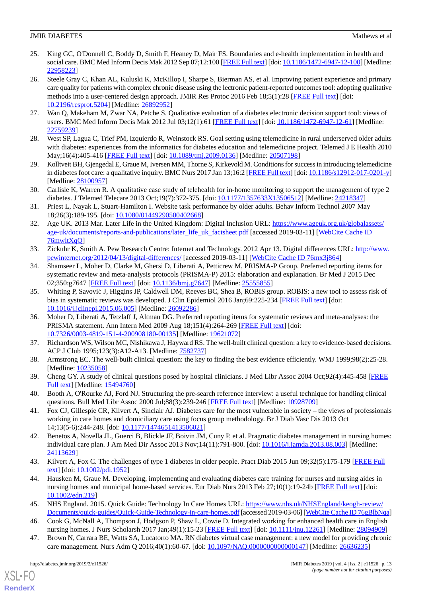- <span id="page-12-0"></span>25. King GC, O'Donnell C, Boddy D, Smith F, Heaney D, Mair FS. Boundaries and e-health implementation in health and social care. BMC Med Inform Decis Mak 2012 Sep 07;12:100 [[FREE Full text](https://bmcmedinformdecismak.biomedcentral.com/articles/10.1186/1472-6947-12-100)] [doi: [10.1186/1472-6947-12-100](http://dx.doi.org/10.1186/1472-6947-12-100)] [Medline: [22958223](http://www.ncbi.nlm.nih.gov/entrez/query.fcgi?cmd=Retrieve&db=PubMed&list_uids=22958223&dopt=Abstract)]
- <span id="page-12-1"></span>26. Steele Gray C, Khan AL, Kuluski K, McKillop I, Sharpe S, Bierman AS, et al. Improving patient experience and primary care quality for patients with complex chronic disease using the lectronic patient-reported outcomes tool: adopting qualitative methods into a user-centered design approach. JMIR Res Protoc 2016 Feb 18;5(1):28 [[FREE Full text](http://www.researchprotocols.org/2016/1/e28/)] [doi: [10.2196/resprot.5204](http://dx.doi.org/10.2196/resprot.5204)] [Medline: [26892952\]](http://www.ncbi.nlm.nih.gov/entrez/query.fcgi?cmd=Retrieve&db=PubMed&list_uids=26892952&dopt=Abstract)
- <span id="page-12-3"></span><span id="page-12-2"></span>27. Wan Q, Makeham M, Zwar NA, Petche S. Qualitative evaluation of a diabetes electronic decision support tool: views of users. BMC Med Inform Decis Mak 2012 Jul 03;12(1):61 [[FREE Full text](https://bmcmedinformdecismak.biomedcentral.com/articles/10.1186/1472-6947-12-61)] [doi: [10.1186/1472-6947-12-61\]](http://dx.doi.org/10.1186/1472-6947-12-61) [Medline: [22759239](http://www.ncbi.nlm.nih.gov/entrez/query.fcgi?cmd=Retrieve&db=PubMed&list_uids=22759239&dopt=Abstract)]
- <span id="page-12-4"></span>28. West SP, Lagua C, Trief PM, Izquierdo R, Weinstock RS. Goal setting using telemedicine in rural underserved older adults with diabetes: experiences from the informatics for diabetes education and telemedicine project. Telemed J E Health 2010 May;16(4):405-416 [\[FREE Full text\]](https://doi.org/10.1089/tmj.2009.0136) [doi: [10.1089/tmj.2009.0136](http://dx.doi.org/10.1089/tmj.2009.0136)] [Medline: [20507198](http://www.ncbi.nlm.nih.gov/entrez/query.fcgi?cmd=Retrieve&db=PubMed&list_uids=20507198&dopt=Abstract)]
- <span id="page-12-5"></span>29. Kolltveit BH, Gjengedal E, Graue M, Iversen MM, Thorne S, Kirkevold M. Conditions for success in introducing telemedicine in diabetes foot care: a qualitative inquiry. BMC Nurs 2017 Jan 13;16:2 [[FREE Full text\]](https://bmcnurs.biomedcentral.com/articles/10.1186/s12912-017-0201-y) [doi: [10.1186/s12912-017-0201-y](http://dx.doi.org/10.1186/s12912-017-0201-y)] [Medline: [28100957](http://www.ncbi.nlm.nih.gov/entrez/query.fcgi?cmd=Retrieve&db=PubMed&list_uids=28100957&dopt=Abstract)]
- <span id="page-12-6"></span>30. Carlisle K, Warren R. A qualitative case study of telehealth for in-home monitoring to support the management of type 2 diabetes. J Telemed Telecare 2013 Oct;19(7):372-375. [doi: [10.1177/1357633X13506512](http://dx.doi.org/10.1177/1357633X13506512)] [Medline: [24218347\]](http://www.ncbi.nlm.nih.gov/entrez/query.fcgi?cmd=Retrieve&db=PubMed&list_uids=24218347&dopt=Abstract)
- 31. Priest L, Nayak L, Stuart-Hamilton I. Website task performance by older adults. Behav Inform Technol 2007 May 18;26(3):189-195. [doi: [10.1080/01449290500402668\]](http://dx.doi.org/10.1080/01449290500402668)
- <span id="page-12-7"></span>32. Age UK. 2013 Mar. Later Life in the United Kingdom: Digital Inclusion URL: [https://www.ageuk.org.uk/globalassets/](https://www.ageuk.org.uk/globalassets/age-uk/documents/reports-and-publications/later_life_uk_factsheet.pdf) [age-uk/documents/reports-and-publications/later\\_life\\_uk\\_factsheet.pdf](https://www.ageuk.org.uk/globalassets/age-uk/documents/reports-and-publications/later_life_uk_factsheet.pdf) [accessed 2019-03-11] [[WebCite Cache ID](http://www.webcitation.org/

                                76mwltXqQ) [76mwltXqQ](http://www.webcitation.org/

                                76mwltXqQ)]
- <span id="page-12-8"></span>33. Zickuhr K, Smith A. Pew Research Centre: Internet and Technology. 2012 Apr 13. Digital differences URL: [http://www.](http://www.pewinternet.org/2012/04/13/digital-differences/) [pewinternet.org/2012/04/13/digital-differences/](http://www.pewinternet.org/2012/04/13/digital-differences/) [accessed 2019-03-11] [\[WebCite Cache ID 76mx3j864\]](http://www.webcitation.org/

                                76mx3j864)
- <span id="page-12-9"></span>34. Shamseer L, Moher D, Clarke M, Ghersi D, Liberati A, Petticrew M, PRISMA-P Group. Preferred reporting items for systematic review and meta-analysis protocols (PRISMA-P) 2015: elaboration and explanation. Br Med J 2015 Dec 02;350:g7647 [[FREE Full text](http://www.bmj.com/cgi/pmidlookup?view=long&pmid=25555855)] [doi: [10.1136/bmj.g7647\]](http://dx.doi.org/10.1136/bmj.g7647) [Medline: [25555855\]](http://www.ncbi.nlm.nih.gov/entrez/query.fcgi?cmd=Retrieve&db=PubMed&list_uids=25555855&dopt=Abstract)
- <span id="page-12-10"></span>35. Whiting P, Savović J, Higgins JP, Caldwell DM, Reeves BC, Shea B, ROBIS group. ROBIS: a new tool to assess risk of bias in systematic reviews was developed. J Clin Epidemiol 2016 Jan;69:225-234 [[FREE Full text](https://linkinghub.elsevier.com/retrieve/pii/S0895-4356(15)00308-X)] [doi: [10.1016/j.jclinepi.2015.06.005\]](http://dx.doi.org/10.1016/j.jclinepi.2015.06.005) [Medline: [26092286](http://www.ncbi.nlm.nih.gov/entrez/query.fcgi?cmd=Retrieve&db=PubMed&list_uids=26092286&dopt=Abstract)]
- <span id="page-12-11"></span>36. Moher D, Liberati A, Tetzlaff J, Altman DG. Preferred reporting items for systematic reviews and meta-analyses: the PRISMA statement. Ann Intern Med 2009 Aug 18;151(4):264-269 [\[FREE Full text](https://annals.org/aim/fullarticle/744664/preferred-reporting-items-systematic-reviews-meta-analyses-prisma-statement)] [doi: [10.7326/0003-4819-151-4-200908180-00135](http://dx.doi.org/10.7326/0003-4819-151-4-200908180-00135)] [Medline: [19621072](http://www.ncbi.nlm.nih.gov/entrez/query.fcgi?cmd=Retrieve&db=PubMed&list_uids=19621072&dopt=Abstract)]
- 37. Richardson WS, Wilson MC, Nishikawa J, Hayward RS. The well-built clinical question: a key to evidence-based decisions. ACP J Club 1995;123(3):A12-A13. [Medline: [7582737](http://www.ncbi.nlm.nih.gov/entrez/query.fcgi?cmd=Retrieve&db=PubMed&list_uids=7582737&dopt=Abstract)]
- <span id="page-12-12"></span>38. Armstrong EC. The well-built clinical question: the key to finding the best evidence efficiently. WMJ 1999;98(2):25-28. [Medline: [10235058](http://www.ncbi.nlm.nih.gov/entrez/query.fcgi?cmd=Retrieve&db=PubMed&list_uids=10235058&dopt=Abstract)]
- <span id="page-12-13"></span>39. Cheng GY. A study of clinical questions posed by hospital clinicians. J Med Libr Assoc 2004 Oct;92(4):445-458 [\[FREE](http://europepmc.org/abstract/MED/15494760) [Full text\]](http://europepmc.org/abstract/MED/15494760) [Medline: [15494760\]](http://www.ncbi.nlm.nih.gov/entrez/query.fcgi?cmd=Retrieve&db=PubMed&list_uids=15494760&dopt=Abstract)
- <span id="page-12-14"></span>40. Booth A, O'Rourke AJ, Ford NJ. Structuring the pre-search reference interview: a useful technique for handling clinical questions. Bull Med Libr Assoc 2000 Jul;88(3):239-246 [\[FREE Full text\]](http://europepmc.org/abstract/MED/10928709) [Medline: [10928709](http://www.ncbi.nlm.nih.gov/entrez/query.fcgi?cmd=Retrieve&db=PubMed&list_uids=10928709&dopt=Abstract)]
- <span id="page-12-15"></span>41. Fox CJ, Gillespie CR, Kilvert A, Sinclair AJ. Diabetes care for the most vulnerable in society – the views of professionals working in care homes and domiciliary care using focus group methodology. Br J Diab Vasc Dis 2013 Oct 14;13(5-6):244-248. [doi: [10.1177/1474651413506021](http://dx.doi.org/10.1177/1474651413506021)]
- <span id="page-12-16"></span>42. Benetos A, Novella JL, Guerci B, Blickle JF, Boivin JM, Cuny P, et al. Pragmatic diabetes management in nursing homes: individual care plan. J Am Med Dir Assoc 2013 Nov;14(11):791-800. [doi: [10.1016/j.jamda.2013.08.003](http://dx.doi.org/10.1016/j.jamda.2013.08.003)] [Medline: [24113629](http://www.ncbi.nlm.nih.gov/entrez/query.fcgi?cmd=Retrieve&db=PubMed&list_uids=24113629&dopt=Abstract)]
- <span id="page-12-18"></span><span id="page-12-17"></span>43. Kilvert A, Fox C. The challenges of type 1 diabetes in older people. Pract Diab 2015 Jun 09;32(5):175-179 [\[FREE Full](https://www.practicaldiabetes.com/wp-content/uploads/sites/29/2016/04/The-challenges-of-type-1-diabetes-in-older-people.pdf) [text](https://www.practicaldiabetes.com/wp-content/uploads/sites/29/2016/04/The-challenges-of-type-1-diabetes-in-older-people.pdf)] [doi: [10.1002/pdi.1952](http://dx.doi.org/10.1002/pdi.1952)]
- <span id="page-12-19"></span>44. Hausken M, Graue M. Developing, implementing and evaluating diabetes care training for nurses and nursing aides in nursing homes and municipal home-based services. Eur Diab Nurs 2013 Feb 27;10(1):19-24b [\[FREE Full text\]](https://onlinelibrary.wiley.com/doi/full/10.1002/edn.219) [doi: [10.1002/edn.219\]](http://dx.doi.org/10.1002/edn.219)
- 45. NHS England. 2015. Quick Guide: Technology In Care Homes URL: [https://www.nhs.uk/NHSEngland/keogh-review/](https://www.nhs.uk/NHSEngland/keogh-review/Documents/quick-guides/Quick-Guide-Technology-in-care-homes.pdf) [Documents/quick-guides/Quick-Guide-Technology-in-care-homes.pdf](https://www.nhs.uk/NHSEngland/keogh-review/Documents/quick-guides/Quick-Guide-Technology-in-care-homes.pdf)[accessed 2019-03-06] [[WebCite Cache ID 76gBlbNqa\]](http://www.webcitation.org/

                                76gBlbNqa)
- 46. Cook G, McNall A, Thompson J, Hodgson P, Shaw L, Cowie D. Integrated working for enhanced health care in English nursing homes. J Nurs Scholarsh 2017 Jan;49(1):15-23 [[FREE Full text](http://europepmc.org/abstract/MED/28094909)] [doi: [10.1111/jnu.12261\]](http://dx.doi.org/10.1111/jnu.12261) [Medline: [28094909\]](http://www.ncbi.nlm.nih.gov/entrez/query.fcgi?cmd=Retrieve&db=PubMed&list_uids=28094909&dopt=Abstract)
- 47. Brown N, Carrara BE, Watts SA, Lucatorto MA. RN diabetes virtual case management: a new model for providing chronic care management. Nurs Adm Q 2016;40(1):60-67. [doi: [10.1097/NAQ.0000000000000147](http://dx.doi.org/10.1097/NAQ.0000000000000147)] [Medline: [26636235](http://www.ncbi.nlm.nih.gov/entrez/query.fcgi?cmd=Retrieve&db=PubMed&list_uids=26636235&dopt=Abstract)]